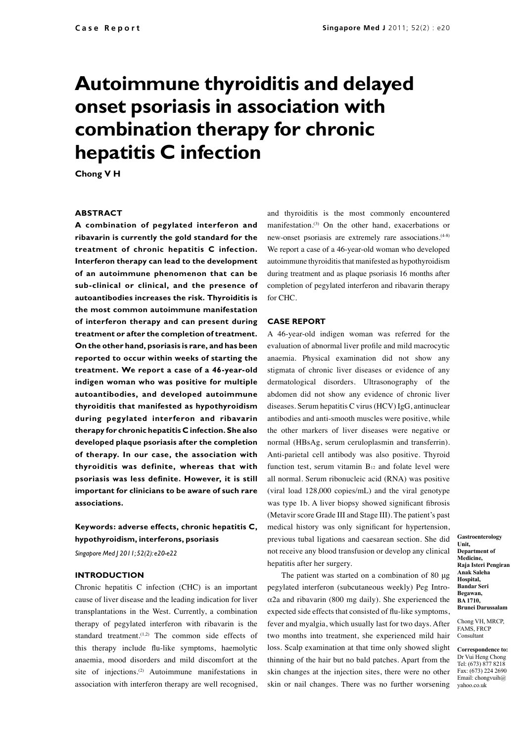# **Autoimmune thyroiditis and delayed onset psoriasis in association with combination therapy for chronic hepatitis C infection**

**Chong V H**

## **ABSTRACT**

**A combination of pegylated interferon and ribavarin is currently the gold standard for the treatment of chronic hepatitis C infection. Interferon therapy can lead to the development of an autoimmune phenomenon that can be sub-clinical or clinical, and the presence of autoantibodies increases the risk. Thyroiditis is the most common autoimmune manifestation of interferon therapy and can present during treatment or after the completion of treatment. On the other hand, psoriasis is rare, and has been reported to occur within weeks of starting the treatment. We report a case of a 46-year-old indigen woman who was positive for multiple autoantibodies, and developed autoimmune thyroiditis that manifested as hypothyroidism during pegylated interferon and ribavarin therapy for chronic hepatitis C infection. She also developed plaque psoriasis after the completion of therapy. In our case, the association with thyroiditis was definite, whereas that with psoriasis was less definite. However, it is still important for clinicians to be aware of such rare associations.**

# **Keywords: adverse effects, chronic hepatitis C, hypothyroidism, interferons, psoriasis**

*Singapore Med J 2011; 52(2): e20-e22*

#### **INTRODUCTION**

Chronic hepatitis C infection (CHC) is an important cause of liver disease and the leading indication for liver transplantations in the West. Currently, a combination therapy of pegylated interferon with ribavarin is the standard treatment. $(1,2)$  The common side effects of this therapy include flu-like symptoms, haemolytic anaemia, mood disorders and mild discomfort at the site of injections.<sup>(2)</sup> Autoimmune manifestations in association with interferon therapy are well recognised,

and thyroiditis is the most commonly encountered manifestation.(3) On the other hand, exacerbations or new-onset psoriasis are extremely rare associations.<sup>(4-8)</sup> We report a case of a 46-year-old woman who developed autoimmune thyroiditis that manifested as hypothyroidism during treatment and as plaque psoriasis 16 months after completion of pegylated interferon and ribavarin therapy for CHC.

#### **CASE REPORT**

A 46-year-old indigen woman was referred for the evaluation of abnormal liver profile and mild macrocytic anaemia. Physical examination did not show any stigmata of chronic liver diseases or evidence of any dermatological disorders. Ultrasonography of the abdomen did not show any evidence of chronic liver diseases. Serum hepatitis C virus (HCV) IgG, antinuclear antibodies and anti-smooth muscles were positive, while the other markers of liver diseases were negative or normal (HBsAg, serum ceruloplasmin and transferrin). Anti-parietal cell antibody was also positive. Thyroid function test, serum vitamin  $B_{12}$  and folate level were all normal. Serum ribonucleic acid (RNA) was positive (viral load 128,000 copies/mL) and the viral genotype was type 1b. A liver biopsy showed significant fibrosis (Metavir score Grade III and Stage III). The patient's past medical history was only significant for hypertension, previous tubal ligations and caesarean section. She did not receive any blood transfusion or develop any clinical hepatitis after her surgery.

The patient was started on a combination of 80 μg pegylated interferon (subcutaneous weekly) Peg Introα2a and ribavarin (800 mg daily). She experienced the expected side effects that consisted of flu-like symptoms, fever and myalgia, which usually last for two days. After two months into treatment, she experienced mild hair loss. Scalp examination at that time only showed slight thinning of the hair but no bald patches. Apart from the skin changes at the injection sites, there were no other skin or nail changes. There was no further worsening **Gastroenterology Unit, Department of Medicine, Raja Isteri Pengiran Anak Saleha Hospital, Bandar Seri Begawan, BA 1710, Brunei Darussalam**

Chong VH, MRCP, FAMS, FRCP Consultant

**Correspondence to:**  Dr Vui Heng Chong Tel: (673) 877 8218 Fax: (673) 224 2690 Email: chongvuih@ yahoo.co.uk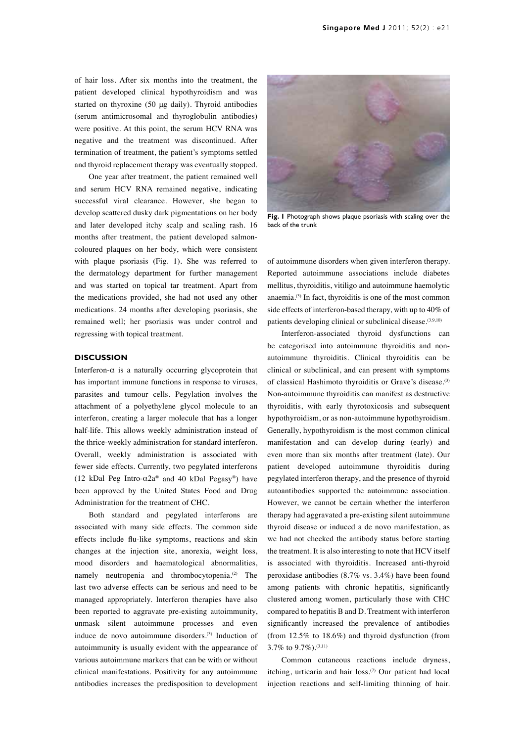of hair loss. After six months into the treatment, the patient developed clinical hypothyroidism and was started on thyroxine (50 μg daily). Thyroid antibodies (serum antimicrosomal and thyroglobulin antibodies) were positive. At this point, the serum HCV RNA was negative and the treatment was discontinued. After termination of treatment, the patient's symptoms settled and thyroid replacement therapy was eventually stopped.

One year after treatment, the patient remained well and serum HCV RNA remained negative, indicating successful viral clearance. However, she began to develop scattered dusky dark pigmentations on her body and later developed itchy scalp and scaling rash. 16 months after treatment, the patient developed salmoncoloured plaques on her body, which were consistent with plaque psoriasis (Fig. 1). She was referred to the dermatology department for further management and was started on topical tar treatment. Apart from the medications provided, she had not used any other medications. 24 months after developing psoriasis, she remained well; her psoriasis was under control and regressing with topical treatment.

#### **DISCUSSION**

Interferon- $\alpha$  is a naturally occurring glycoprotein that has important immune functions in response to viruses, parasites and tumour cells. Pegylation involves the attachment of a polyethylene glycol molecule to an interferon, creating a larger molecule that has a longer half-life. This allows weekly administration instead of the thrice-weekly administration for standard interferon. Overall, weekly administration is associated with fewer side effects. Currently, two pegylated interferons (12 kDal Peg Intro- $\alpha$ 2a® and 40 kDal Pegasy®) have been approved by the United States Food and Drug Administration for the treatment of CHC.

Both standard and pegylated interferons are associated with many side effects. The common side effects include flu-like symptoms, reactions and skin changes at the injection site, anorexia, weight loss, mood disorders and haematological abnormalities, namely neutropenia and thrombocytopenia.<sup>(2)</sup> The last two adverse effects can be serious and need to be managed appropriately. Interferon therapies have also been reported to aggravate pre-existing autoimmunity, unmask silent autoimmune processes and even induce de novo autoimmune disorders.(3) Induction of autoimmunity is usually evident with the appearance of various autoimmune markers that can be with or without clinical manifestations. Positivity for any autoimmune antibodies increases the predisposition to development



**Fig. 1** Photograph shows plaque psoriasis with scaling over the back of the trunk

of autoimmune disorders when given interferon therapy. Reported autoimmune associations include diabetes mellitus, thyroiditis, vitiligo and autoimmune haemolytic anaemia.(3) In fact, thyroiditis is one of the most common side effects of interferon-based therapy, with up to 40% of patients developing clinical or subclinical disease.<sup>(3,9,10)</sup>

Interferon-associated thyroid dysfunctions can be categorised into autoimmune thyroiditis and nonautoimmune thyroiditis. Clinical thyroiditis can be clinical or subclinical, and can present with symptoms of classical Hashimoto thyroiditis or Grave's disease.<sup>(3)</sup> Non-autoimmune thyroiditis can manifest as destructive thyroiditis, with early thyrotoxicosis and subsequent hypothyroidism, or as non-autoimmune hypothyroidism. Generally, hypothyroidism is the most common clinical manifestation and can develop during (early) and even more than six months after treatment (late). Our patient developed autoimmune thyroiditis during pegylated interferon therapy, and the presence of thyroid autoantibodies supported the autoimmune association. However, we cannot be certain whether the interferon therapy had aggravated a pre-existing silent autoimmune thyroid disease or induced a de novo manifestation, as we had not checked the antibody status before starting the treatment. It is also interesting to note that HCV itself is associated with thyroiditis. Increased anti-thyroid peroxidase antibodies (8.7% vs. 3.4%) have been found among patients with chronic hepatitis, significantly clustered among women, particularly those with CHC compared to hepatitis B and D. Treatment with interferon significantly increased the prevalence of antibodies (from 12.5% to 18.6%) and thyroid dysfunction (from 3.7% to 9.7%).(3,11)

Common cutaneous reactions include dryness, itching, urticaria and hair loss.(7) Our patient had local injection reactions and self-limiting thinning of hair.